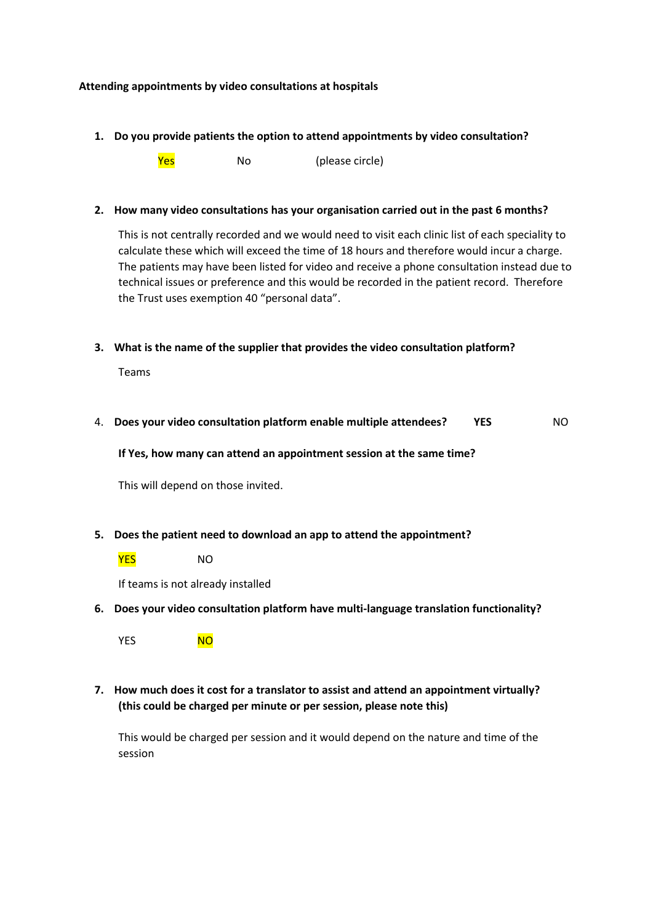### **Attending appointments by video consultations at hospitals**

**1. Do you provide patients the option to attend appointments by video consultation?**

**Yes** No (please circle)

### **2. How many video consultations has your organisation carried out in the past 6 months?**

This is not centrally recorded and we would need to visit each clinic list of each speciality to calculate these which will exceed the time of 18 hours and therefore would incur a charge. The patients may have been listed for video and receive a phone consultation instead due to technical issues or preference and this would be recorded in the patient record. Therefore the Trust uses exemption 40 "personal data".

**3. What is the name of the supplier that provides the video consultation platform?**

Teams

4. **Does your video consultation platform enable multiple attendees? YES** NO

**If Yes, how many can attend an appointment session at the same time?**

This will depend on those invited.

**5. Does the patient need to download an app to attend the appointment?**

**YES** NO

If teams is not already installed

**6. Does your video consultation platform have multi-language translation functionality?**

YES NO

**7. How much does it cost for a translator to assist and attend an appointment virtually? (this could be charged per minute or per session, please note this)**

This would be charged per session and it would depend on the nature and time of the session